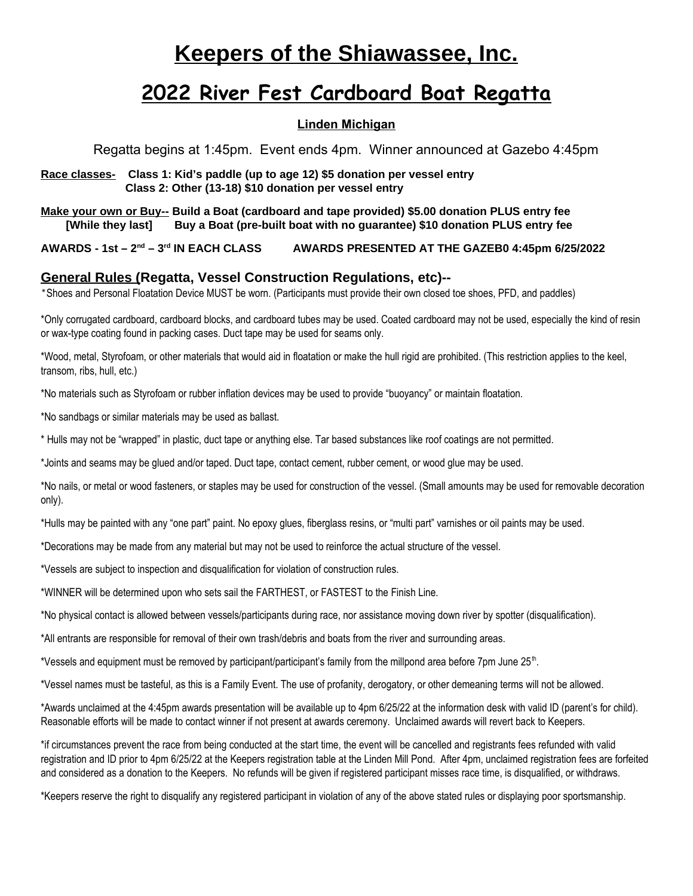# **Keepers of the Shiawassee, Inc.**

# **2022 River Fest Cardboard Boat Regatta**

### **Linden Michigan**

Regatta begins at 1:45pm. Event ends 4pm. Winner announced at Gazebo 4:45pm

**Race classes- Class 1: Kid's paddle (up to age 12) \$5 donation per vessel entry Class 2: Other (13-18) \$10 donation per vessel entry**

**Make your own or Buy-- Build a Boat (cardboard and tape provided) \$5.00 donation PLUS entry fee [While they last] Buy a Boat (pre-built boat with no guarantee) \$10 donation PLUS entry fee** 

**AWARDS - 1st – 2nd – 3rd IN EACH CLASS AWARDS PRESENTED AT THE GAZEB0 4:45pm 6/25/2022**

### **General Rules (Regatta, Vessel Construction Regulations, etc)--**

\*Shoes and Personal Floatation Device MUST be worn. (Participants must provide their own closed toe shoes, PFD, and paddles)

\*Only corrugated cardboard, cardboard blocks, and cardboard tubes may be used. Coated cardboard may not be used, especially the kind of resin or wax-type coating found in packing cases. Duct tape may be used for seams only.

\*Wood, metal, Styrofoam, or other materials that would aid in floatation or make the hull rigid are prohibited. (This restriction applies to the keel, transom, ribs, hull, etc.)

\*No materials such as Styrofoam or rubber inflation devices may be used to provide "buoyancy" or maintain floatation.

\*No sandbags or similar materials may be used as ballast.

\* Hulls may not be "wrapped" in plastic, duct tape or anything else. Tar based substances like roof coatings are not permitted.

\*Joints and seams may be glued and/or taped. Duct tape, contact cement, rubber cement, or wood glue may be used.

\*No nails, or metal or wood fasteners, or staples may be used for construction of the vessel. (Small amounts may be used for removable decoration only).

\*Hulls may be painted with any "one part" paint. No epoxy glues, fiberglass resins, or "multi part" varnishes or oil paints may be used.

\*Decorations may be made from any material but may not be used to reinforce the actual structure of the vessel.

\*Vessels are subject to inspection and disqualification for violation of construction rules.

\*WINNER will be determined upon who sets sail the FARTHEST, or FASTEST to the Finish Line.

\*No physical contact is allowed between vessels/participants during race, nor assistance moving down river by spotter (disqualification).

\*All entrants are responsible for removal of their own trash/debris and boats from the river and surrounding areas.

\*Vessels and equipment must be removed by participant/participant's family from the millpond area before 7pm June 25<sup>th</sup>.

\*Vessel names must be tasteful, as this is a Family Event. The use of profanity, derogatory, or other demeaning terms will not be allowed.

\*Awards unclaimed at the 4:45pm awards presentation will be available up to 4pm 6/25/22 at the information desk with valid ID (parent's for child). Reasonable efforts will be made to contact winner if not present at awards ceremony. Unclaimed awards will revert back to Keepers.

\*if circumstances prevent the race from being conducted at the start time, the event will be cancelled and registrants fees refunded with valid registration and ID prior to 4pm 6/25/22 at the Keepers registration table at the Linden Mill Pond. After 4pm, unclaimed registration fees are forfeited and considered as a donation to the Keepers. No refunds will be given if registered participant misses race time, is disqualified, or withdraws.

\*Keepers reserve the right to disqualify any registered participant in violation of any of the above stated rules or displaying poor sportsmanship.